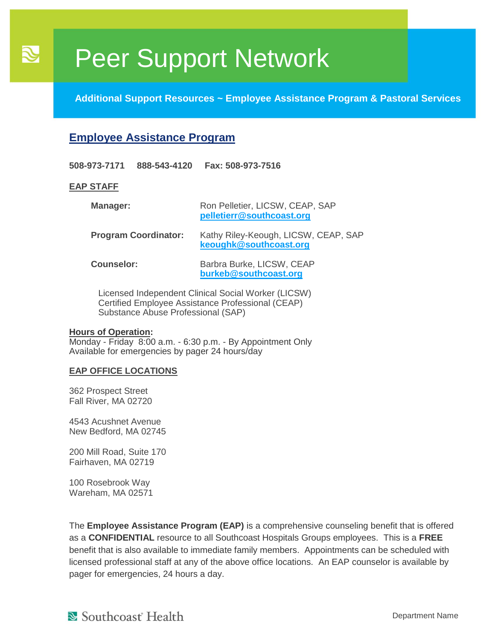**Additional Support Resources ~ Employee Assistance Program & Pastoral Services**

### **Employee Assistance Program**

**508-973-7171 888-543-4120 Fax: 508-973-7516**

#### **EAP STAFF**

 $\overline{\mathcal{S}}$ 

| Manager:                    | Ron Pelletier, LICSW, CEAP, SAP<br>pelletierr@southcoast.org   |
|-----------------------------|----------------------------------------------------------------|
| <b>Program Coordinator:</b> | Kathy Riley-Keough, LICSW, CEAP, SAP<br>keoughk@southcoast.org |
| <b>Counselor:</b>           | Barbra Burke, LICSW, CEAP<br>burkeb@southcoast.org             |

Licensed Independent Clinical Social Worker (LICSW) Certified Employee Assistance Professional (CEAP) Substance Abuse Professional (SAP)

#### **Hours of Operation:**

Monday - Friday 8:00 a.m. - 6:30 p.m. - By Appointment Only Available for emergencies by pager 24 hours/day

#### **EAP OFFICE LOCATIONS**

362 Prospect Street Fall River, MA 02720

4543 Acushnet Avenue New Bedford, MA 02745

200 Mill Road, Suite 170 Fairhaven, MA 02719

100 Rosebrook Way Wareham, MA 02571

The **Employee Assistance Program (EAP)** is a comprehensive counseling benefit that is offered as a **CONFIDENTIAL** resource to all Southcoast Hospitals Groups employees. This is a **FREE** benefit that is also available to immediate family members. Appointments can be scheduled with licensed professional staff at any of the above office locations. An EAP counselor is available by pager for emergencies, 24 hours a day.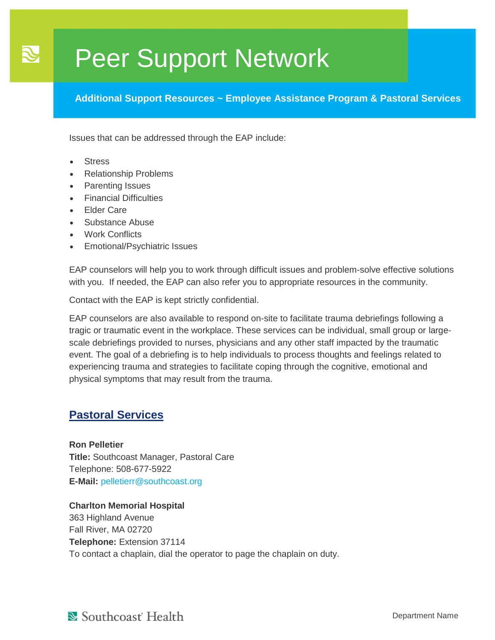**Additional Support Resources ~ Employee Assistance Program & Pastoral Services**

Issues that can be addressed through the EAP include:

**Stress** 

 $\mathbf{R}$ 

- Relationship Problems
- Parenting Issues
- Financial Difficulties
- **Elder Care**
- Substance Abuse
- Work Conflicts
- Emotional/Psychiatric Issues

EAP counselors will help you to work through difficult issues and problem-solve effective solutions with you. If needed, the EAP can also refer you to appropriate resources in the community.

Contact with the EAP is kept strictly confidential.

EAP counselors are also available to respond on-site to facilitate trauma debriefings following a tragic or traumatic event in the workplace. These services can be individual, small group or largescale debriefings provided to nurses, physicians and any other staff impacted by the traumatic event. The goal of a debriefing is to help individuals to process thoughts and feelings related to experiencing trauma and strategies to facilitate coping through the cognitive, emotional and physical symptoms that may result from the trauma.

### **Pastoral Services**

**Ron Pelletier Title:** Southcoast Manager, Pastoral Care Telephone: 508-677-5922 **E-Mail:** [pelletierr@southcoast.org](mailto:pelletierr@southcoast.org)

**Charlton Memorial Hospital** 363 Highland Avenue Fall River, MA 02720 **Telephone:** Extension 37114 To contact a chaplain, dial the operator to page the chaplain on duty.

Southcoast Health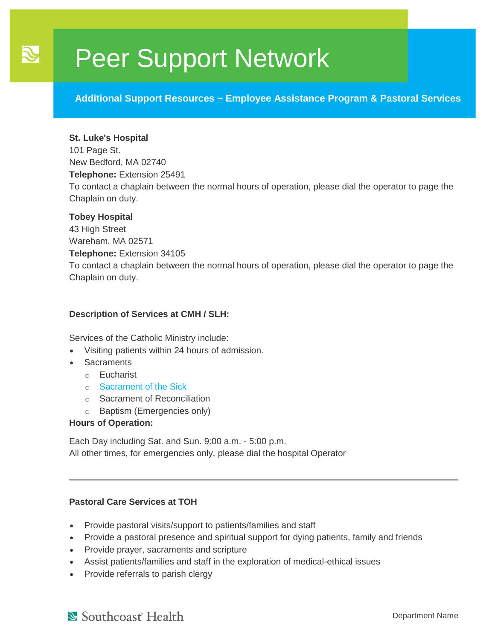**Additional Support Resources ~ Employee Assistance Program & Pastoral Services**

#### **St. Luke's Hospital**

 $\mathbf{R}$ 

101 Page St. New Bedford, MA 02740 **Telephone:** Extension 25491 To contact a chaplain between the normal hours of operation, please dial the operator to page the Chaplain on duty.

#### **Tobey Hospital**

43 High Street Wareham, MA 02571 **Telephone:** Extension 34105 To contact a chaplain between the normal hours of operation, please dial the operator to page the Chaplain on duty.

#### **Description of Services at CMH / SLH:**

Services of the Catholic Ministry include:

- Visiting patients within 24 hours of admission.
- **Sacraments** 
	- o Eucharist
	- o [Sacrament of the Sick](http://intranet.southcoast.org/southcoast/documents/root/Documents/Pastoral%20Services/The%20Sacrament%20of%20the%20Sick.pdf)
	- o Sacrament of Reconciliation
	- o Baptism (Emergencies only)

#### **Hours of Operation:**

Each Day including Sat. and Sun. 9:00 a.m. - 5:00 p.m. All other times, for emergencies only, please dial the hospital Operator

#### **Pastoral Care Services at TOH**

- Provide pastoral visits/support to patients/families and staff
- Provide a pastoral presence and spiritual support for dying patients, family and friends
- Provide prayer, sacraments and scripture
- Assist patients/families and staff in the exploration of medical-ethical issues
- Provide referrals to parish clergy

Southcoast Health